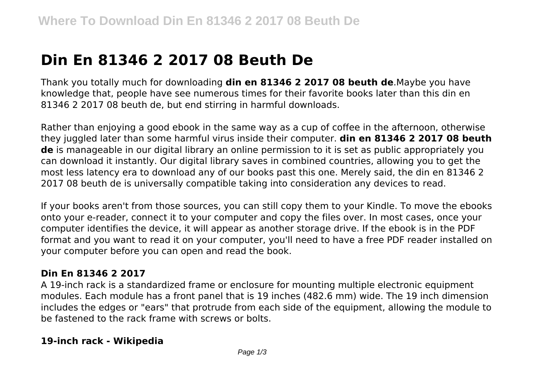# **Din En 81346 2 2017 08 Beuth De**

Thank you totally much for downloading **din en 81346 2 2017 08 beuth de**.Maybe you have knowledge that, people have see numerous times for their favorite books later than this din en 81346 2 2017 08 beuth de, but end stirring in harmful downloads.

Rather than enjoying a good ebook in the same way as a cup of coffee in the afternoon, otherwise they juggled later than some harmful virus inside their computer. **din en 81346 2 2017 08 beuth de** is manageable in our digital library an online permission to it is set as public appropriately you can download it instantly. Our digital library saves in combined countries, allowing you to get the most less latency era to download any of our books past this one. Merely said, the din en 81346 2 2017 08 beuth de is universally compatible taking into consideration any devices to read.

If your books aren't from those sources, you can still copy them to your Kindle. To move the ebooks onto your e-reader, connect it to your computer and copy the files over. In most cases, once your computer identifies the device, it will appear as another storage drive. If the ebook is in the PDF format and you want to read it on your computer, you'll need to have a free PDF reader installed on your computer before you can open and read the book.

#### **Din En 81346 2 2017**

A 19-inch rack is a standardized frame or enclosure for mounting multiple electronic equipment modules. Each module has a front panel that is 19 inches (482.6 mm) wide. The 19 inch dimension includes the edges or "ears" that protrude from each side of the equipment, allowing the module to be fastened to the rack frame with screws or bolts.

#### **19-inch rack - Wikipedia**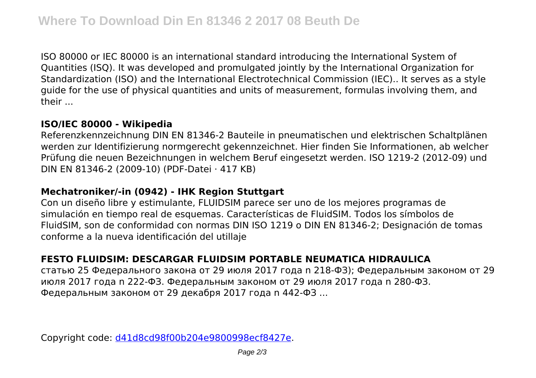ISO 80000 or IEC 80000 is an international standard introducing the International System of Quantities (ISQ). It was developed and promulgated jointly by the International Organization for Standardization (ISO) and the International Electrotechnical Commission (IEC).. It serves as a style guide for the use of physical quantities and units of measurement, formulas involving them, and their ...

#### **ISO/IEC 80000 - Wikipedia**

Referenzkennzeichnung DIN EN 81346-2 Bauteile in pneumatischen und elektrischen Schaltplänen werden zur Identifizierung normgerecht gekennzeichnet. Hier finden Sie Informationen, ab welcher Prüfung die neuen Bezeichnungen in welchem Beruf eingesetzt werden. ISO 1219-2 (2012-09) und DIN EN 81346-2 (2009-10) (PDF-Datei · 417 KB)

#### **Mechatroniker/-in (0942) - IHK Region Stuttgart**

Con un diseño libre y estimulante, FLUIDSIM parece ser uno de los mejores programas de simulación en tiempo real de esquemas. Características de FluidSIM. Todos los símbolos de FluidSIM, son de conformidad con normas DIN ISO 1219 o DIN EN 81346-2; Designación de tomas conforme a la nueva identificación del utillaje

### **FESTO FLUIDSIM: DESCARGAR FLUIDSIM PORTABLE NEUMATICA HIDRAULICA**

статью 25 Федерального закона от 29 июля 2017 года n 218-ФЗ); Федеральным законом от 29 июля 2017 года n 222-ФЗ. Федеральным законом от 29 июля 2017 года n 280-ФЗ. Федеральным законом от 29 декабря 2017 года n 442-ФЗ ...

Copyright code: [d41d8cd98f00b204e9800998ecf8427e.](/sitemap.xml)